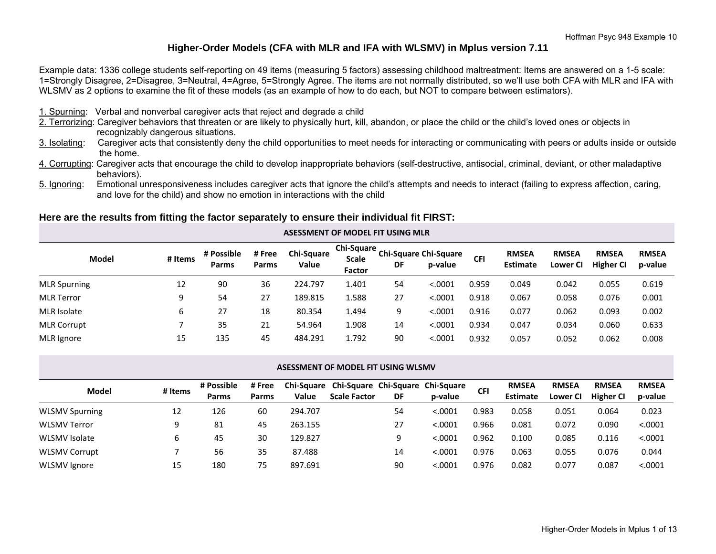## **Higher-Order Models (CFA with MLR and IFA with WLSMV) in Mplus version 7.11**

Example data: 1336 college students self-reporting on 49 items (measuring 5 factors) assessing childhood maltreatment: Items are answered on a 1-5 scale: 1=Strongly Disagree, 2=Disagree, 3=Neutral, 4=Agree, 5=Strongly Agree. The items are not normally distributed, so we'll use both CFA with MLR and IFA with WLSMV as 2 options to examine the fit of these models (as an example of how to do each, but NOT to compare between estimators).

- 1. Spurning: Verbal and nonverbal caregiver acts that reject and degrade a child
- 2. Terrorizing: Caregiver behaviors that threaten or are likely to physically hurt, kill, abandon, or place the child or the child's loved ones or objects in recognizably dangerous situations.
- 3. Isolating: Caregiver acts that consistently deny the child opportunities to meet needs for interacting or communicating with peers or adults inside or outside the home.
- 4. Corrupting: Caregiver acts that encourage the child to develop inappropriate behaviors (self-destructive, antisocial, criminal, deviant, or other maladaptive behaviors).
- 5. Ignoring: Emotional unresponsiveness includes caregiver acts that ignore the child's attempts and needs to interact (failing to express affection, caring, and love for the child) and show no emotion in interactions with the child

## **Here are the results from fitting the factor separately to ensure their individual fit FIRST:**

| Model               | # Items | # Possible<br>Parms | # Free<br><b>Parms</b> | <b>Chi-Square</b><br>Value | <b>Chi-Square</b><br><b>Scale</b><br>Factor | DF | <b>Chi-Square Chi-Square</b><br>p-value | <b>CFI</b> | <b>RMSEA</b><br><b>Estimate</b> | <b>RMSEA</b><br>Lower CI | <b>RMSEA</b><br><b>Higher CI</b> | <b>RMSEA</b><br>p-value |
|---------------------|---------|---------------------|------------------------|----------------------------|---------------------------------------------|----|-----------------------------------------|------------|---------------------------------|--------------------------|----------------------------------|-------------------------|
| <b>MLR Spurning</b> | 12      | 90                  | 36                     | 224.797                    | 1.401                                       | 54 | < .0001                                 | 0.959      | 0.049                           | 0.042                    | 0.055                            | 0.619                   |
| <b>MLR Terror</b>   | 9       | 54                  | 27                     | 189.815                    | 1.588                                       | 27 | < .0001                                 | 0.918      | 0.067                           | 0.058                    | 0.076                            | 0.001                   |
| MLR Isolate         | b       | 27                  | 18                     | 80.354                     | L.494                                       | 9  | < 0.0001                                | 0.916      | 0.077                           | 0.062                    | 0.093                            | 0.002                   |
| <b>MLR Corrupt</b>  |         | 35                  | 21                     | 54.964                     | 1.908                                       | 14 | < .0001                                 | 0.934      | 0.047                           | 0.034                    | 0.060                            | 0.633                   |
| MLR Ignore          | 15      | 135                 | 45                     | 484.291                    | 1.792                                       | 90 | < .0001                                 | 0.932      | 0.057                           | 0.052                    | 0.062                            | 0.008                   |

**ASESSMENT OF MODEL FIT USING MLR**

#### **ASESSMENT OF MODEL FIT USING WLSMV**

|                       |         | # Possible   | # Free | <b>Chi-Square</b> | Chi-Square Chi-Square Chi-Square |    |         | <b>CFI</b> | <b>RMSEA</b>    | <b>RMSEA</b> | <b>RMSEA</b>     | <b>RMSEA</b> |
|-----------------------|---------|--------------|--------|-------------------|----------------------------------|----|---------|------------|-----------------|--------------|------------------|--------------|
| Model                 | # Items | <b>Parms</b> | Parms  | Value             | <b>Scale Factor</b>              | DF | p-value |            | <b>Estimate</b> | Lower Cl     | <b>Higher CI</b> | p-value      |
| <b>WLSMV Spurning</b> | 12      | 126          | 60     | 294.707           |                                  | 54 | < .0001 | 0.983      | 0.058           | 0.051        | 0.064            | 0.023        |
| <b>WLSMV Terror</b>   | 9       | -81          | 45     | 263.155           |                                  | 27 | < .0001 | 0.966      | 0.081           | 0.072        | 0.090            | < .0001      |
| <b>WLSMV</b> Isolate  | b       | 45           | 30     | 129.827           |                                  |    | < .0001 | 0.962      | 0.100           | 0.085        | 0.116            | < .0001      |
| <b>WLSMV Corrupt</b>  |         | 56           | 35     | 87.488            |                                  | 14 | < .0001 | 0.976      | 0.063           | 0.055        | 0.076            | 0.044        |
| <b>WLSMV Ignore</b>   | 15      | 180          | 75     | 897.691           |                                  | 90 | < .0001 | 0.976      | 0.082           | 0.077        | 0.087            | < .0001      |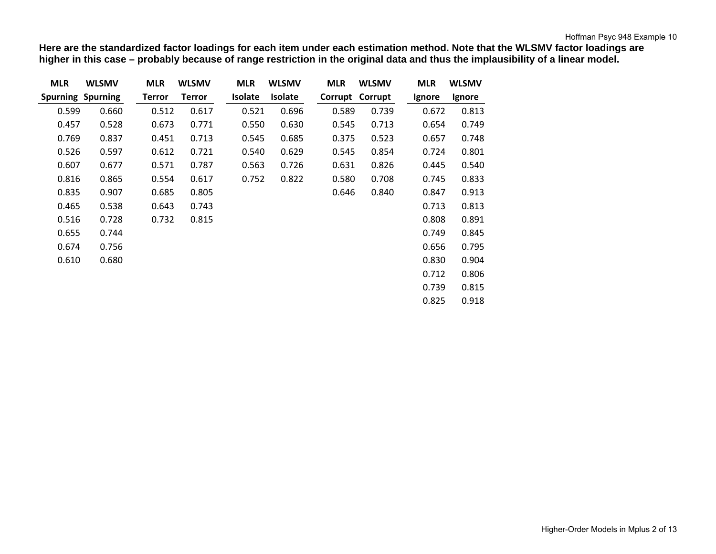**Here are the standardized factor loadings for each item under each estimation method. Note that the WLSMV factor loadings are higher in this case – probably because of range restriction in the original data and thus the implausibility of a linear model.**

| <b>MLR</b>               | <b>WLSMV</b> | <b>MLR</b>    | <b>WLSMV</b>  | <b>MLR</b>     | <b>WLSMV</b>   | <b>MLR</b> | <b>WLSMV</b>    | <b>MLR</b> | <b>WLSMV</b> |
|--------------------------|--------------|---------------|---------------|----------------|----------------|------------|-----------------|------------|--------------|
| <b>Spurning Spurning</b> |              | <b>Terror</b> | <b>Terror</b> | <b>Isolate</b> | <b>Isolate</b> |            | Corrupt Corrupt | Ignore     | Ignore       |
| 0.599                    | 0.660        | 0.512         | 0.617         | 0.521          | 0.696          | 0.589      | 0.739           | 0.672      | 0.813        |
| 0.457                    | 0.528        | 0.673         | 0.771         | 0.550          | 0.630          | 0.545      | 0.713           | 0.654      | 0.749        |
| 0.769                    | 0.837        | 0.451         | 0.713         | 0.545          | 0.685          | 0.375      | 0.523           | 0.657      | 0.748        |
| 0.526                    | 0.597        | 0.612         | 0.721         | 0.540          | 0.629          | 0.545      | 0.854           | 0.724      | 0.801        |
| 0.607                    | 0.677        | 0.571         | 0.787         | 0.563          | 0.726          | 0.631      | 0.826           | 0.445      | 0.540        |
| 0.816                    | 0.865        | 0.554         | 0.617         | 0.752          | 0.822          | 0.580      | 0.708           | 0.745      | 0.833        |
| 0.835                    | 0.907        | 0.685         | 0.805         |                |                | 0.646      | 0.840           | 0.847      | 0.913        |
| 0.465                    | 0.538        | 0.643         | 0.743         |                |                |            |                 | 0.713      | 0.813        |
| 0.516                    | 0.728        | 0.732         | 0.815         |                |                |            |                 | 0.808      | 0.891        |
| 0.655                    | 0.744        |               |               |                |                |            |                 | 0.749      | 0.845        |
| 0.674                    | 0.756        |               |               |                |                |            |                 | 0.656      | 0.795        |
| 0.610                    | 0.680        |               |               |                |                |            |                 | 0.830      | 0.904        |
|                          |              |               |               |                |                |            |                 | 0.712      | 0.806        |
|                          |              |               |               |                |                |            |                 | 0.739      | 0.815        |
|                          |              |               |               |                |                |            |                 | 0.825      | 0.918        |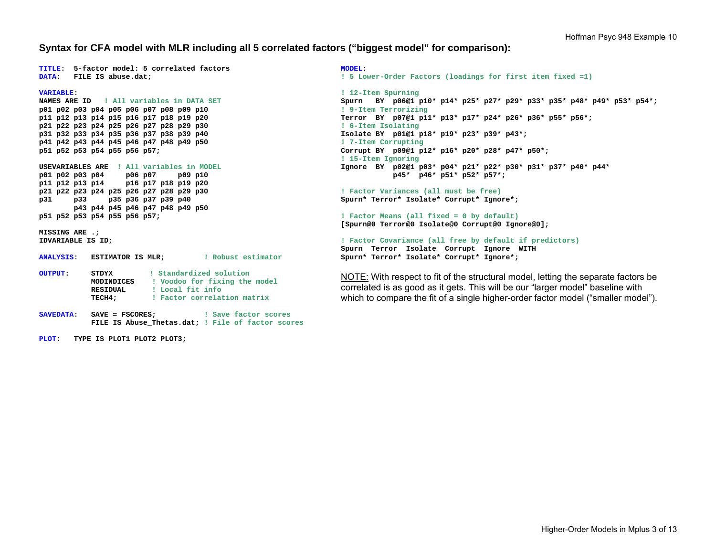### **Syntax for CFA model with MLR including all 5 correlated factors ("biggest model" for comparison):**

**TITLE: 5-factor model: 5 correlated factors DATA: FILE IS abuse.dat;** 

**NAMES ARE ID ! All variables in DATA SETp01 p02 p03 p04 p05 p06 p07 p08 p09 p10 p11 p12 p13 p14 p15 p16 p17 p18 p19 p20 p21 p22 p23 p24 p25 p26 p27 p28 p29 p30 p31 p32 p33 p34 p35 p36 p37 p38 p39 p40 p41 p42 p43 p44 p45 p46 p47 p48 p49 p50 p51 p52 p53 p54 p55 p56 p57; USEVARIABLES ARE ! All variables in MODELp01 p02 p03 p04 p06 p07 p09 p10 p11 p12 p13 p14 p16 p17 p18 p19 p20 p21 p22 p23 p24 p25 p26 p27 p28 p29 p30 p31 p33 p35 p36 p37 p39 p40 p43 p44 p45 p46 p47 p48 p49 p50** 

**p51 p52 p53 p54 p55 p56 p57;** 

**MISSING ARE .; IDVARIABLE IS ID;** 

**VARIABLE:** 

| <b>ANALYSIS:</b> | <b>ESTIMATOR IS MLR;</b> | ! Robust estimator            |
|------------------|--------------------------|-------------------------------|
| <b>OUTPUT:</b>   | STDYX                    | ! Standardized solution       |
|                  | MODINDICES               | ! Voodoo for fixing the model |
|                  | RESIDUAL                 | ! Local fit info              |
|                  | TECH4;                   | ! Factor correlation matrix   |

**SAVEDATA: SAVE = FSCORES; ! Save factor scores FILE IS Abuse\_Thetas.dat; ! File of factor scores** 

**PLOT: TYPE IS PLOT1 PLOT2 PLOT3;** 

**MODEL: ! 5 Lower-Order Factors (loadings for first item fixed =1)** 

**! 12-Item Spurning Spurn BY p06@1 p10\* p14\* p25\* p27\* p29\* p33\* p35\* p48\* p49\* p53\* p54\*; ! 9-Item Terrorizing Terror BY p07@1 p11\* p13\* p17\* p24\* p26\* p36\* p55\* p56\*; ! 6-Item Isolating Isolate BY p01@1 p18\* p19\* p23\* p39\* p43\*; ! 7-Item Corrupting Corrupt BY p09@1 p12\* p16\* p20\* p28\* p47\* p50\*; ! 15-Item Ignoring Ignore BY p02@1 p03\* p04\* p21\* p22\* p30\* p31\* p37\* p40\* p44\* p45\* p46\* p51\* p52\* p57\*;** 

**! Factor Variances (all must be free) Spurn\* Terror\* Isolate\* Corrupt\* Ignore\*;** 

**! Factor Means (all fixed = 0 by default) [Spurn@0 Terror@0 Isolate@0 Corrupt@0 Ignore@0];** 

**! Factor Covariance (all free by default if predictors) Spurn Terror Isolate Corrupt Ignore WITH Spurn\* Terror\* Isolate\* Corrupt\* Ignore\*;** 

NOTE: With respect to fit of the structural model, letting the separate factors be correlated is as good as it gets. This will be our "larger model" baseline with which to compare the fit of a single higher-order factor model ("smaller model").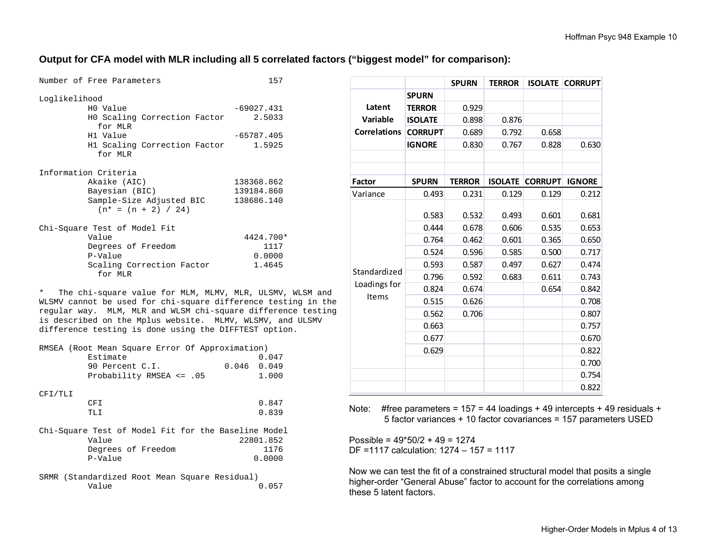## **Output for CFA model with MLR including all 5 correlated factors ("biggest model" for comparison):**

| Number of Free Parameters                         | 157          |
|---------------------------------------------------|--------------|
| Loglikelihood                                     |              |
| HO Value                                          | $-69027.431$ |
| HO Scaling Correction Factor<br>for MLR           | 2.5033       |
| H1 Value                                          | $-65787.405$ |
| H1 Scaling Correction Factor<br>for MLR           | 1.5925       |
| Information Criteria                              |              |
| Akaike (AIC)                                      | 138368.862   |
| Bayesian (BIC)                                    | 139184.860   |
| Sample-Size Adjusted BIC<br>$(n* = (n + 2) / 24)$ | 138686.140   |
| Chi-Square Test of Model Fit                      |              |
| Value                                             | 4424.700*    |
| Degrees of Freedom                                | 1117         |
| P-Value                                           | 0.0000       |
| Scaling Correction Factor<br>for MLR              | 1.4645       |

\* The chi-square value for MLM, MLMV, MLR, ULSMV, WLSM and WLSMV cannot be used for chi-square difference testing in the regular way. MLM, MLR and WLSM chi-square difference testing is described on the Mplus website. MLMV, WLSMV, and ULSMV difference testing is done using the DIFFTEST option.

| RMSEA (Root Mean Square Error Of Approximation)<br>Estimate<br>$0.046$ 0.049<br>90 Percent C.I.<br>Probability RMSEA <= .05 | 0.047<br>1.000 |  |  |  |  |
|-----------------------------------------------------------------------------------------------------------------------------|----------------|--|--|--|--|
|                                                                                                                             |                |  |  |  |  |
| CFI/TLI                                                                                                                     |                |  |  |  |  |
| CFI                                                                                                                         | 0.847          |  |  |  |  |
| TLI                                                                                                                         | 0.839          |  |  |  |  |
| Chi-Square Test of Model Fit for the Baseline Model                                                                         |                |  |  |  |  |
| Value                                                                                                                       | 22801.852      |  |  |  |  |
| Degrees of Freedom                                                                                                          | 1176           |  |  |  |  |
| P-Value                                                                                                                     | 0.0000         |  |  |  |  |
| SRMR (Standardized Root Mean Square Residual)                                                                               |                |  |  |  |  |

| SNMR (Standaluized NOOt Mean Squale Residual) |  |  |       |  |
|-----------------------------------------------|--|--|-------|--|
| Value                                         |  |  | 0.057 |  |

|                     |                | <b>SPURN</b>  | <b>TERROR</b>  | <b>ISOLATE</b> | <b>CORRUPT</b> |
|---------------------|----------------|---------------|----------------|----------------|----------------|
|                     | <b>SPURN</b>   |               |                |                |                |
| Latent              | <b>TERROR</b>  | 0.929         |                |                |                |
| Variable            | <b>ISOLATE</b> | 0.898         | 0.876          |                |                |
| <b>Correlations</b> | <b>CORRUPT</b> | 0.689         | 0.792          | 0.658          |                |
|                     | <b>IGNORE</b>  | 0.830         | 0.767          | 0.828          | 0.630          |
|                     |                |               |                |                |                |
|                     |                |               |                |                |                |
| <b>Factor</b>       | <b>SPURN</b>   | <b>TERROR</b> | <b>ISOLATE</b> | <b>CORRUPT</b> | <b>IGNORE</b>  |
| Variance            | 0.493          | 0.231         | 0.129          | 0.129          | 0.212          |
|                     | 0.583          | 0.532         | 0.493          | 0.601          | 0.681          |
|                     | 0.444          | 0.678         | 0.606          | 0.535          | 0.653          |
|                     | 0.764          | 0.462         | 0.601          | 0.365          | 0.650          |
|                     | 0.524          | 0.596         | 0.585          | 0.500          | 0.717          |
|                     | 0.593          | 0.587         | 0.497          | 0.627          | 0.474          |
| Standardized        | 0.796          | 0.592         | 0.683          | 0.611          | 0.743          |
| Loadings for        | 0.824          | 0.674         |                | 0.654          | 0.842          |
| Items               | 0.515          | 0.626         |                |                | 0.708          |
|                     | 0.562          | 0.706         |                |                | 0.807          |
|                     | 0.663          |               |                |                | 0.757          |
|                     | 0.677          |               |                |                | 0.670          |
|                     | 0.629          |               |                |                | 0.822          |
|                     |                |               |                |                | 0.700          |
|                     |                |               |                |                | 0.754          |
|                     |                |               |                |                | 0.822          |

Note: #free parameters =  $157 = 44$  loadings + 49 intercepts + 49 residuals + 5 factor variances + 10 factor covariances = 157 parameters USED

Possible =  $49*50/2 + 49 = 1274$ DF =1117 calculation: 1274 – 157 = 1117

Now we can test the fit of a constrained structural model that posits a single higher-order "General Abuse" factor to account for the correlations among these 5 latent factors.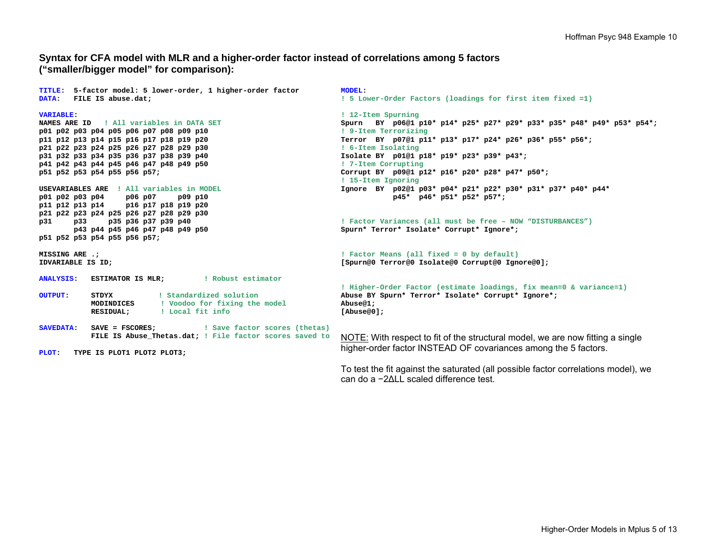## **Syntax for CFA model with MLR and a higher-order factor instead of correlations among 5 factors ("smaller/bigger model" for comparison):**

**TITLE: 5-factor model: 5 lower-order, 1 higher-order factor DATA: FILE IS abuse.dat;** 

#### **VARIABLE:**

**NAMES ARE ID ! All variables in DATA SETp01 p02 p03 p04 p05 p06 p07 p08 p09 p10 p11 p12 p13 p14 p15 p16 p17 p18 p19 p20 p21 p22 p23 p24 p25 p26 p27 p28 p29 p30 p31 p32 p33 p34 p35 p36 p37 p38 p39 p40 p41 p42 p43 p44 p45 p46 p47 p48 p49 p50 p51 p52 p53 p54 p55 p56 p57;** 

#### **USEVARIABLES ARE ! All variables in MODELp01 p02 p03 p04 p06 p07 p09 p10 p11 p12 p13 p14 p16 p17 p18 p19 p20 p21 p22 p23 p24 p25 p26 p27 p28 p29 p30 p31 p33 p35 p36 p37 p39 p40 p43 p44 p45 p46 p47 p48 p49 p50 p51 p52 p53 p54 p55 p56 p57;**

**MISSING ARE .; IDVARIABLE IS ID;** 

- **ANALYSIS: ESTIMATOR IS MLR; ! Robust estimator**
- **OUTPUT: STDYX ! Standardized solution MODINDICES ! Voodoo for fixing the model RESIDUAL; ! Local fit info**
- **SAVEDATA: SAVE = FSCORES; ! Save factor scores (thetas) FILE IS Abuse\_Thetas.dat; ! File factor scores saved to**
- **PLOT: TYPE IS PLOT1 PLOT2 PLOT3;**

**MODEL: ! 5 Lower-Order Factors (loadings for first item fixed =1)** 

**! 12-Item Spurning Spurn BY p06@1 p10\* p14\* p25\* p27\* p29\* p33\* p35\* p48\* p49\* p53\* p54\*; ! 9-Item Terrorizing Terror BY p07@1 p11\* p13\* p17\* p24\* p26\* p36\* p55\* p56\*; ! 6-Item Isolating Isolate BY p01@1 p18\* p19\* p23\* p39\* p43\*; ! 7-Item Corrupting Corrupt BY p09@1 p12\* p16\* p20\* p28\* p47\* p50\*; ! 15-Item Ignoring Ignore BY p02@1 p03\* p04\* p21\* p22\* p30\* p31\* p37\* p40\* p44\* p45\* p46\* p51\* p52\* p57\*;** 

**! Factor Variances (all must be free – NOW "DISTURBANCES") Spurn\* Terror\* Isolate\* Corrupt\* Ignore\*;** 

**! Factor Means (all fixed = 0 by default) [Spurn@0 Terror@0 Isolate@0 Corrupt@0 Ignore@0];** 

```
! Higher-Order Factor (estimate loadings, fix mean=0 & variance=1) 
Abuse BY Spurn* Terror* Isolate* Corrupt* Ignore*; 
Abuse@1; 
[Abuse@0];
```
NOTE: With respect to fit of the structural model, we are now fitting a single higher-order factor INSTEAD OF covariances among the 5 factors.

To test the fit against the saturated (all possible factor correlations model), we can do a −2ΔLL scaled difference test.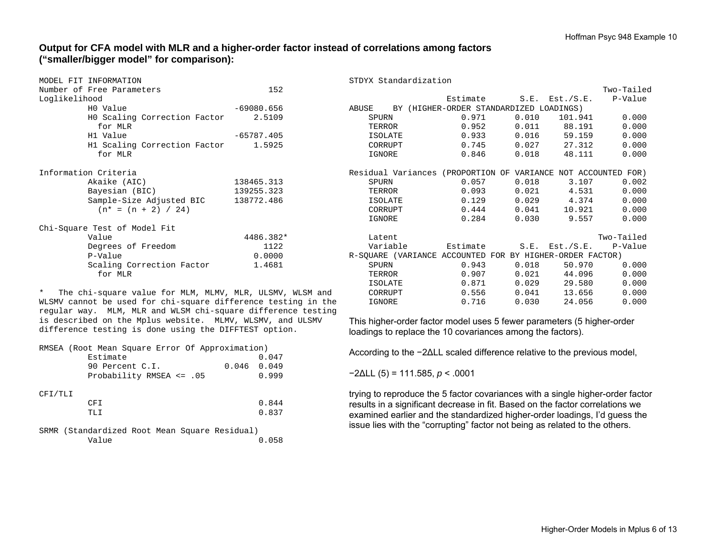# **Output for CFA model with MLR and a higher-order factor instead of correlations among factors ("smaller/bigger model" for comparison):**

|               | MODEL FIT INFORMATION            |              |  |  |  |  |  |  |  |
|---------------|----------------------------------|--------------|--|--|--|--|--|--|--|
|               | 152<br>Number of Free Parameters |              |  |  |  |  |  |  |  |
| Loglikelihood |                                  |              |  |  |  |  |  |  |  |
|               | HO Value                         | $-69080.656$ |  |  |  |  |  |  |  |
|               | HO Scaling Correction Factor     | 2.5109       |  |  |  |  |  |  |  |
|               | for MLR                          |              |  |  |  |  |  |  |  |
|               | H1 Value                         | $-65787.405$ |  |  |  |  |  |  |  |
|               | H1 Scaling Correction Factor     | 1.5925       |  |  |  |  |  |  |  |
|               | for MLR                          |              |  |  |  |  |  |  |  |
|               |                                  |              |  |  |  |  |  |  |  |
|               | Information Criteria             |              |  |  |  |  |  |  |  |
|               | Akaike (AIC)                     | 138465.313   |  |  |  |  |  |  |  |
|               | Bayesian (BIC)                   | 139255.323   |  |  |  |  |  |  |  |
|               | Sample-Size Adjusted BIC         | 138772.486   |  |  |  |  |  |  |  |
|               | $(n* = (n + 2) / 24)$            |              |  |  |  |  |  |  |  |
|               |                                  |              |  |  |  |  |  |  |  |
|               | Chi-Square Test of Model Fit     |              |  |  |  |  |  |  |  |
|               | Value                            | 4486.382*    |  |  |  |  |  |  |  |
|               | Degrees of Freedom               | 1122         |  |  |  |  |  |  |  |
|               | P-Value                          | 0.0000       |  |  |  |  |  |  |  |
|               | Scaling Correction Factor        | 1.4681       |  |  |  |  |  |  |  |
|               | for MLR                          |              |  |  |  |  |  |  |  |

\* The chi-square value for MLM, MLMV, MLR, ULSMV, WLSM and WLSMV cannot be used for chi-square difference testing in the regular way. MLM, MLR and WLSM chi-square difference testing is described on the Mplus website. MLMV, WLSMV, and ULSMV difference testing is done using the DIFFTEST option.

| RMSEA (Root Mean Square Error Of Approximation) |               |
|-------------------------------------------------|---------------|
| Estimate                                        | 0.047         |
| 90 Percent C.I.                                 | $0.046$ 0.049 |
| Probability RMSEA $\leq$ .05                    | 0.999         |
|                                                 |               |
| CFI/TLI                                         |               |
| CFI                                             | 0.844         |
| TLI                                             | 0.837         |
|                                                 |               |
| SRMR (Standardized Root Mean Square Residual)   |               |
| Value                                           | 0.058         |

|       |                |       |                                         |                                                               | Two-Tailed                      |
|-------|----------------|-------|-----------------------------------------|---------------------------------------------------------------|---------------------------------|
|       |                |       |                                         |                                                               | Estimate S.E. Est./S.E. P-Value |
| ABUSE |                |       | BY (HIGHER-ORDER STANDARDIZED LOADINGS) |                                                               |                                 |
| SPURN |                | 0.971 |                                         | $0.010$ $101.941$ $0.000$                                     |                                 |
|       | TERROR         | 0.952 |                                         | 0.011 88.191                                                  | 0.000                           |
|       | ISOLATE        |       |                                         | $0.933$ $0.016$ 59.159                                        | 0.000                           |
|       | CORRUPT        |       |                                         | $0.745$ $0.027$ $27.312$                                      | 0.000                           |
|       | IGNORE         | 0.846 |                                         | $0.018$ 48.111                                                | 0.000                           |
|       |                |       |                                         | Residual Variances (PROPORTION OF VARIANCE NOT ACCOUNTED FOR) |                                 |
| SPURN |                | 0.057 | 0.018                                   |                                                               | 3.107 0.002                     |
|       | TERROR         | 0.093 |                                         | $0.021$ 4.531                                                 | 0.000                           |
|       | ISOLATE        |       |                                         | $0.129$ $0.029$ $4.374$ $0.000$                               |                                 |
|       | CORRUPT        |       | $0.444$ $0.041$                         |                                                               | 10.921 0.000                    |
|       |                |       |                                         |                                                               |                                 |
|       | IGNORE         | 0.284 |                                         | $0.030$ 9.557                                                 | 0.000                           |
|       | Latent         |       |                                         |                                                               | Two-Tailed                      |
|       |                |       |                                         | Variable <b>Estimate</b> S.E. Est./S.E. P-Value               |                                 |
|       |                |       |                                         | R-SOUARE (VARIANCE ACCOUNTED FOR BY HIGHER-ORDER FACTOR)      |                                 |
| SPURN |                | 0.943 | 0.018                                   |                                                               | 50.970 0.000                    |
|       | TERROR         | 0.907 | 0.021                                   |                                                               | 44.096 0.000                    |
|       | <b>ISOLATE</b> | 0.871 |                                         | $0.029$ 29.580                                                | 0.000                           |
|       | CORRUPT        | 0.556 | 0.041                                   |                                                               | 13.656 0.000                    |
|       | IGNORE         | 0.716 | 0.030                                   | 24.056                                                        | 0.000                           |

This higher-order factor model uses 5 fewer parameters (5 higher-order loadings to replace the 10 covariances among the factors).

According to the −2ΔLL scaled difference relative to the previous model,

<sup>−</sup>2ΔLL (5) = 111.585, *p* < .0001

STDYX Standardization

trying to reproduce the 5 factor covariances with a single higher-order factor results in a significant decrease in fit. Based on the factor correlations we examined earlier and the standardized higher-order loadings, I'd guess the issue lies with the "corrupting" factor not being as related to the others.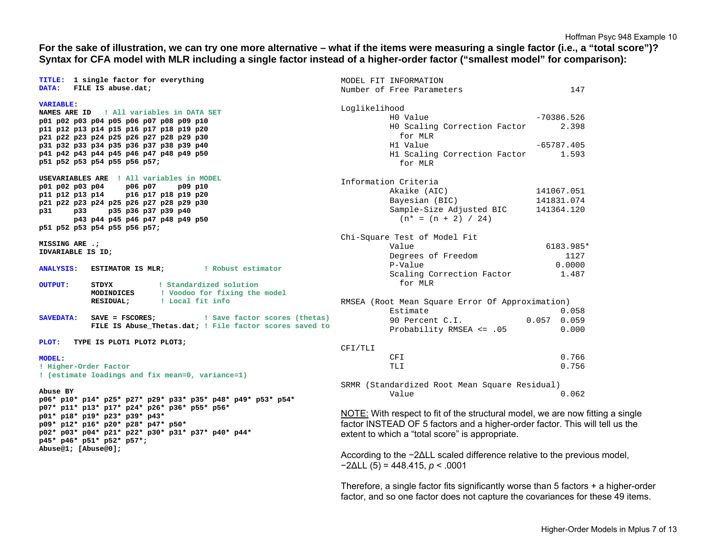## **For the sake of illustration, we can try one more alternative – what if the items were measuring a single factor (i.e., a "total score")? Syntax for CFA model with MLR including a single factor instead of a higher-order factor ("smallest model" for comparison):**

|                       | TITLE: 1 single factor for everything                                                                       | MODEL FIT INFORMATION                                                                                               |               |  |  |  |  |
|-----------------------|-------------------------------------------------------------------------------------------------------------|---------------------------------------------------------------------------------------------------------------------|---------------|--|--|--|--|
| DATA:                 | FILE IS abuse.dat;                                                                                          | Number of Free Parameters                                                                                           | 147           |  |  |  |  |
| <b>VARIABLE:</b>      |                                                                                                             | Loglikelihood                                                                                                       |               |  |  |  |  |
|                       | NAMES ARE ID : All variables in DATA SET                                                                    | HO Value                                                                                                            | $-70386.526$  |  |  |  |  |
|                       | p01 p02 p03 p04 p05 p06 p07 p08 p09 p10                                                                     | HO Scaling Correction Factor                                                                                        | 2.398         |  |  |  |  |
|                       | p11 p12 p13 p14 p15 p16 p17 p18 p19 p20                                                                     | for MLR                                                                                                             |               |  |  |  |  |
|                       | p21 p22 p23 p24 p25 p26 p27 p28 p29 p30                                                                     |                                                                                                                     |               |  |  |  |  |
|                       | p31 p32 p33 p34 p35 p36 p37 p38 p39 p40                                                                     | H1 Value                                                                                                            | $-65787.405$  |  |  |  |  |
|                       | p41 p42 p43 p44 p45 p46 p47 p48 p49 p50<br>p51 p52 p53 p54 p55 p56 p57;                                     | H1 Scaling Correction Factor<br>for MLR                                                                             | 1.593         |  |  |  |  |
|                       | USEVARIABLES ARE ! All variables in MODEL                                                                   | Information Criteria                                                                                                |               |  |  |  |  |
| p01 p02 p03 p04       | p06 p07<br>p09 p10                                                                                          | Akaike (AIC)                                                                                                        | 141067.051    |  |  |  |  |
|                       | p11 p12 p13 p14 p16 p17 p18 p19 p20                                                                         | Bayesian (BIC)                                                                                                      | 141831.074    |  |  |  |  |
|                       | p21 p22 p23 p24 p25 p26 p27 p28 p29 p30                                                                     |                                                                                                                     |               |  |  |  |  |
|                       | p31 p33 p35 p36 p37 p39 p40                                                                                 | Sample-Size Adjusted BIC                                                                                            | 141364.120    |  |  |  |  |
|                       | p43 p44 p45 p46 p47 p48 p49 p50                                                                             | $(n* = (n + 2) / 24)$                                                                                               |               |  |  |  |  |
|                       | p51 p52 p53 p54 p55 p56 p57;                                                                                | Chi-Square Test of Model Fit                                                                                        |               |  |  |  |  |
| MISSING ARE .;        |                                                                                                             | Value                                                                                                               | 6183.985*     |  |  |  |  |
| IDVARIABLE IS ID;     |                                                                                                             |                                                                                                                     | 1127          |  |  |  |  |
|                       |                                                                                                             | Degrees of Freedom                                                                                                  |               |  |  |  |  |
| <b>ANALYSIS:</b>      | ESTIMATOR IS MLR; Fobust estimator                                                                          | P-Value                                                                                                             | 0.0000        |  |  |  |  |
|                       |                                                                                                             | Scaling Correction Factor                                                                                           | 1.487         |  |  |  |  |
| <b>OUTPUT:</b>        | ! Standardized solution<br>STDYX                                                                            | for MLR                                                                                                             |               |  |  |  |  |
|                       | MODINDICES ! Voodoo for fixing the model                                                                    |                                                                                                                     |               |  |  |  |  |
|                       | RESIDUAL; ! Local fit info                                                                                  | RMSEA (Root Mean Square Error Of Approximation)                                                                     |               |  |  |  |  |
|                       |                                                                                                             | Estimate                                                                                                            | 0.058         |  |  |  |  |
| <b>SAVEDATA:</b>      | $SAVE = FSCORES;$<br>! Save factor scores (thetas)                                                          | 90 Percent C.I.                                                                                                     | $0.057$ 0.059 |  |  |  |  |
|                       | FILE IS Abuse_Thetas.dat; ! File factor scores saved to                                                     | Probability RMSEA <= .05                                                                                            | 0.000         |  |  |  |  |
| PLOT:                 | TYPE IS PLOT1 PLOT2 PLOT3;                                                                                  |                                                                                                                     |               |  |  |  |  |
|                       |                                                                                                             | CFI/TLI                                                                                                             |               |  |  |  |  |
| <b>MODEL:</b>         |                                                                                                             | CFI                                                                                                                 | 0.766         |  |  |  |  |
| ! Higher-Order Factor |                                                                                                             | TLI                                                                                                                 | 0.756         |  |  |  |  |
|                       | ! (estimate loadings and fix mean=0, variance=1)                                                            |                                                                                                                     |               |  |  |  |  |
|                       |                                                                                                             | SRMR (Standardized Root Mean Square Residual)                                                                       |               |  |  |  |  |
| Abuse BY              |                                                                                                             | Value                                                                                                               | 0.062         |  |  |  |  |
|                       | p06* p10* p14* p25* p27* p29* p33* p35* p48* p49* p53* p54*<br>p07* p11* p13* p17* p24* p26* p36* p55* p56* |                                                                                                                     |               |  |  |  |  |
|                       | p01* p18* p19* p23* p39* p43*                                                                               | NOTE: With respect to fit of the structural model, we are now fitting a single                                      |               |  |  |  |  |
|                       | p09* p12* p16* p20* p28* p47* p50*                                                                          | factor INSTEAD OF 5 factors and a higher-order factor. This will tell us the                                        |               |  |  |  |  |
|                       | p02* p03* p04* p21* p22* p30* p31* p37* p40* p44*                                                           |                                                                                                                     |               |  |  |  |  |
|                       | p45* p46* p51* p52* p57*;                                                                                   | extent to which a "total score" is appropriate.                                                                     |               |  |  |  |  |
| Abuse@1; [Abuse@0];   |                                                                                                             |                                                                                                                     |               |  |  |  |  |
|                       |                                                                                                             | According to the −2∆LL scaled difference relative to the previous model,<br>$-2\Delta L L$ (5) = 448.415, p < .0001 |               |  |  |  |  |
|                       |                                                                                                             |                                                                                                                     |               |  |  |  |  |

Therefore, a single factor fits significantly worse than 5 factors + a higher-order factor, and so one factor does not capture the covariances for these 49 items.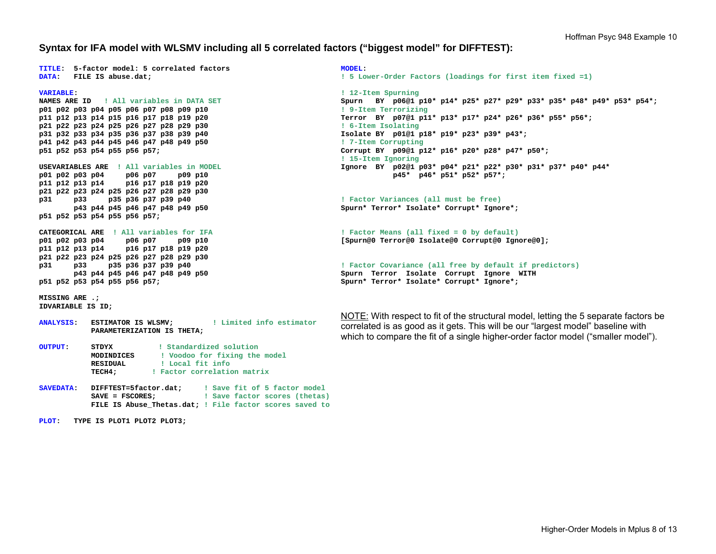## **Syntax for IFA model with WLSMV including all 5 correlated factors ("biggest model" for DIFFTEST):**

**MODEL:** 

**TITLE: 5-factor model: 5 correlated factors DATA: FILE IS abuse.dat;** 

**VARIABLE:** 

**NAMES ARE ID ! All variables in DATA SETp01 p02 p03 p04 p05 p06 p07 p08 p09 p10 p11 p12 p13 p14 p15 p16 p17 p18 p19 p20 p21 p22 p23 p24 p25 p26 p27 p28 p29 p30 p31 p32 p33 p34 p35 p36 p37 p38 p39 p40 p41 p42 p43 p44 p45 p46 p47 p48 p49 p50 p51 p52 p53 p54 p55 p56 p57;** 

**USEVARIABLES ARE ! All variables in MODELp01 p02 p03 p04 p06 p07 p09 p10 p11 p12 p13 p14 p16 p17 p18 p19 p20 p21 p22 p23 p24 p25 p26 p27 p28 p29 p30 p31 p33 p35 p36 p37 p39 p40 p43 p44 p45 p46 p47 p48 p49 p50 p51 p52 p53 p54 p55 p56 p57;** 

**CATEGORICAL ARE ! All variables for IFAp01 p02 p03 p04 p06 p07 p09 p10 p11 p12 p13 p14 p16 p17 p18 p19 p20 p21 p22 p23 p24 p25 p26 p27 p28 p29 p30 p31 p33 p35 p36 p37 p39 p40 p43 p44 p45 p46 p47 p48 p49 p50 p51 p52 p53 p54 p55 p56 p57;** 

**MISSING ARE .; IDVARIABLE IS ID;** 

- **ANALYSIS: ESTIMATOR IS WLSMV; ! Limited info estimator PARAMETERIZATION IS THETA;**
- **OUTPUT: STDYX ! Standardized solution MODINDICES ! Voodoo for fixing the model RESIDUAL ! Local fit info TECH4; ! Factor correlation matrix**
- **SAVEDATA: DIFFTEST=5factor.dat; ! Save fit of 5 factor model SAVE = FSCORES; ! Save factor scores (thetas) FILE IS Abuse\_Thetas.dat; ! File factor scores saved to**

**PLOT: TYPE IS PLOT1 PLOT2 PLOT3;** 

**! 5 Lower-Order Factors (loadings for first item fixed =1)** 

**! 12-Item Spurning Spurn BY p06@1 p10\* p14\* p25\* p27\* p29\* p33\* p35\* p48\* p49\* p53\* p54\*; ! 9-Item Terrorizing Terror BY p07@1 p11\* p13\* p17\* p24\* p26\* p36\* p55\* p56\*; ! 6-Item Isolating Isolate BY p01@1 p18\* p19\* p23\* p39\* p43\*; ! 7-Item Corrupting Corrupt BY p09@1 p12\* p16\* p20\* p28\* p47\* p50\*; ! 15-Item Ignoring Ignore BY p02@1 p03\* p04\* p21\* p22\* p30\* p31\* p37\* p40\* p44\* p45\* p46\* p51\* p52\* p57\*;** 

**! Factor Variances (all must be free) Spurn\* Terror\* Isolate\* Corrupt\* Ignore\*;** 

**! Factor Means (all fixed = 0 by default) [Spurn@0 Terror@0 Isolate@0 Corrupt@0 Ignore@0];** 

```
! Factor Covariance (all free by default if predictors) 
Spurn Terror Isolate Corrupt Ignore WITH 
Spurn* Terror* Isolate* Corrupt* Ignore*;
```
NOTE: With respect to fit of the structural model, letting the 5 separate factors be correlated is as good as it gets. This will be our "largest model" baseline with which to compare the fit of a single higher-order factor model ("smaller model").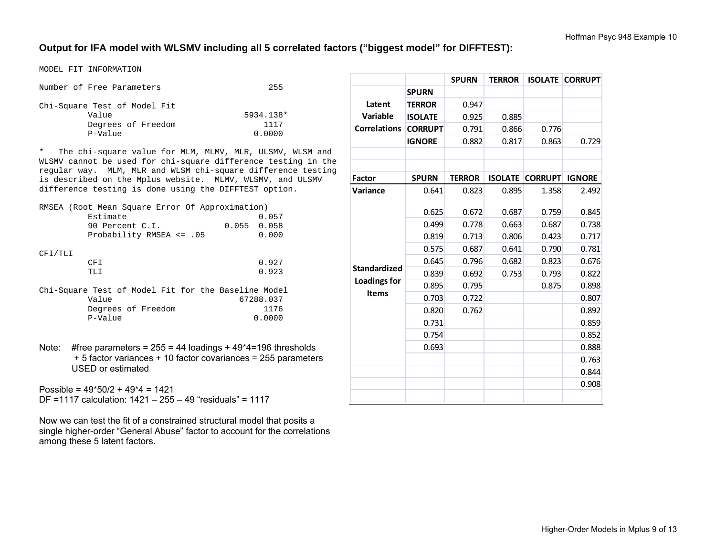# **Output for IFA model with WLSMV including all 5 correlated factors ("biggest model" for DIFFTEST):**

MODEL FIT INFORMATION

| Number of Free Parameters    | 255       |
|------------------------------|-----------|
| Chi-Square Test of Model Fit |           |
| Value                        | 5934.138* |
| Degrees of Freedom           | 1117      |
| P-Value                      | 0.0000    |

\* The chi-square value for MLM, MLMV, MLR, ULSMV, WLSM and WLSMV cannot be used for chi-square difference testing in the regular way. MLM, MLR and WLSM chi-square difference testing is described on the Mplus website. MLMV, WLSMV, and ULSMV difference testing is done using the DIFFTEST option.

| RMSEA (Root Mean Square Error Of Approximation)     |  |          |                 |       |  |  |               |       |
|-----------------------------------------------------|--|----------|-----------------|-------|--|--|---------------|-------|
|                                                     |  | Estimate |                 |       |  |  |               | 0.057 |
|                                                     |  |          | 90 Percent C.I. |       |  |  | $0.055$ 0.058 |       |
| Probability RMSEA $\leq$ .05                        |  |          |                 | 0.000 |  |  |               |       |
|                                                     |  |          |                 |       |  |  |               |       |
| CFI/TLI                                             |  |          |                 |       |  |  |               |       |
|                                                     |  | CFT.     |                 |       |  |  |               | 0.927 |
|                                                     |  | TLI      |                 |       |  |  |               | 0.923 |
|                                                     |  |          |                 |       |  |  |               |       |
| Chi-Square Test of Model Fit for the Baseline Model |  |          |                 |       |  |  |               |       |

| Value   |                    | 67288.037 |
|---------|--------------------|-----------|
|         | Degrees of Freedom | 1176      |
| P-Value |                    | 0.0000    |

Note: #free parameters =  $255 = 44$  loadings +  $49*4=196$  thresholds + 5 factor variances + 10 factor covariances = 255 parameters USED or estimated

Possible = 49\*50/2 + 49\*4 = 1421 DF =1117 calculation: 1421 – 255 – 49 "residuals" = 1117

Now we can test the fit of a constrained structural model that posits a single higher-order "General Abuse" factor to account for the correlations among these 5 latent factors.

|                                     |                | <b>SPURN</b>  | <b>TERROR</b>  | <b>ISOLATE</b> | <b>CORRUPT</b> |
|-------------------------------------|----------------|---------------|----------------|----------------|----------------|
|                                     | <b>SPURN</b>   |               |                |                |                |
| Latent<br><b>Variable</b>           | <b>TERROR</b>  | 0.947         |                |                |                |
|                                     | <b>ISOLATE</b> | 0.925         | 0.885          |                |                |
| <b>Correlations</b>                 | <b>CORRUPT</b> | 0.791         | 0.866          | 0.776          |                |
|                                     | <b>IGNORE</b>  | 0.882         | 0.817          | 0.863          | 0.729          |
|                                     |                |               |                |                |                |
|                                     |                |               |                |                |                |
| <b>Factor</b>                       | <b>SPURN</b>   | <b>TERROR</b> | <b>ISOLATE</b> | <b>CORRUPT</b> | <b>IGNORE</b>  |
| Variance                            | 0.641          | 0.823         | 0.895          | 1.358          | 2.492          |
|                                     |                |               |                |                |                |
|                                     | 0.625          | 0.672         | 0.687          | 0.759          | 0.845          |
|                                     | 0.499          | 0.778         | 0.663          | 0.687          | 0.738          |
|                                     | 0.819          | 0.713         | 0.806          | 0.423          | 0.717          |
|                                     | 0.575          | 0.687         | 0.641          | 0.790          | 0.781          |
| <b>Standardized</b>                 | 0.645          | 0.796         | 0.682          | 0.823          | 0.676          |
| <b>Loadings for</b><br><b>Items</b> | 0.839          | 0.692         | 0.753          | 0.793          | 0.822          |
|                                     | 0.895          | 0.795         |                | 0.875          | 0.898          |
|                                     | 0.703          | 0.722         |                |                | 0.807          |
|                                     | 0.820          | 0.762         |                |                | 0.892          |
|                                     | 0.731          |               |                |                | 0.859          |
|                                     | 0.754          |               |                |                | 0.852          |
|                                     | 0.693          |               |                |                | 0.888          |
|                                     |                |               |                |                | 0.763          |
|                                     |                |               |                |                | 0.844          |
|                                     |                |               |                |                | 0.908          |
|                                     |                |               |                |                |                |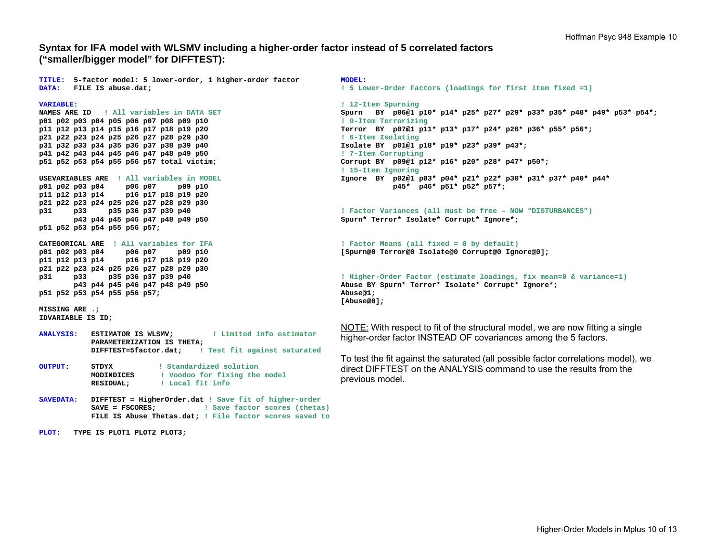## **Syntax for IFA model with WLSMV including a higher-order factor instead of 5 correlated factors ("smaller/bigger model" for DIFFTEST):**

**TITLE: 5-factor model: 5 lower-order, 1 higher-order factor DATA: FILE IS abuse.dat;** 

**VARIABLE:** 

**NAMES ARE ID ! All variables in DATA SETp01 p02 p03 p04 p05 p06 p07 p08 p09 p10 p11 p12 p13 p14 p15 p16 p17 p18 p19 p20 p21 p22 p23 p24 p25 p26 p27 p28 p29 p30 p31 p32 p33 p34 p35 p36 p37 p38 p39 p40 p41 p42 p43 p44 p45 p46 p47 p48 p49 p50 p51 p52 p53 p54 p55 p56 p57 total victim;** 

**USEVARIABLES ARE ! All variables in MODELp01 p02 p03 p04 p06 p07 p09 p10 p11 p12 p13 p14 p16 p17 p18 p19 p20 p21 p22 p23 p24 p25 p26 p27 p28 p29 p30 p31 p33 p35 p36 p37 p39 p40 p43 p44 p45 p46 p47 p48 p49 p50 p51 p52 p53 p54 p55 p56 p57;** 

**CATEGORICAL ARE ! All variables for IFA p01 p02 p03 p04 p06 p07 p09 p10 p11 p12 p13 p14 p16 p17 p18 p19 p20 p21 p22 p23 p24 p25 p26 p27 p28 p29 p30 p31 p33 p35 p36 p37 p39 p40 p43 p44 p45 p46 p47 p48 p49 p50 p51 p52 p53 p54 p55 p56 p57;** 

**MISSING ARE .; IDVARIABLE IS ID;** 

- **ANALYSIS: ESTIMATOR IS WLSMV; ! Limited info estimator PARAMETERIZATION IS THETA; DIFFTEST=5factor.dat; ! Test fit against saturated**
- **OUTPUT: STDYX ! Standardized solution MODINDICES ! Voodoo for fixing the model RESIDUAL; ! Local fit info**
- **SAVEDATA: DIFFTEST = HigherOrder.dat ! Save fit of higher-order SAVE = FSCORES; ! Save factor scores (thetas) FILE IS Abuse\_Thetas.dat; ! File factor scores saved to**

**PLOT: TYPE IS PLOT1 PLOT2 PLOT3;** 

**MODEL: ! 5 Lower-Order Factors (loadings for first item fixed =1)** 

**! 12-Item Spurning Spurn BY p06@1 p10\* p14\* p25\* p27\* p29\* p33\* p35\* p48\* p49\* p53\* p54\*; ! 9-Item Terrorizing Terror BY p07@1 p11\* p13\* p17\* p24\* p26\* p36\* p55\* p56\*; ! 6-Item Isolating Isolate BY p01@1 p18\* p19\* p23\* p39\* p43\*; ! 7-Item Corrupting Corrupt BY p09@1 p12\* p16\* p20\* p28\* p47\* p50\*; ! 15-Item Ignoring Ignore BY p02@1 p03\* p04\* p21\* p22\* p30\* p31\* p37\* p40\* p44\* p45\* p46\* p51\* p52\* p57\*;** 

**! Factor Variances (all must be free – NOW "DISTURBANCES") Spurn\* Terror\* Isolate\* Corrupt\* Ignore\*;** 

**! Factor Means (all fixed = 0 by default) [Spurn@0 Terror@0 Isolate@0 Corrupt@0 Ignore@0];** 

```
! Higher-Order Factor (estimate loadings, fix mean=0 & variance=1) 
Abuse BY Spurn* Terror* Isolate* Corrupt* Ignore*; 
Abuse@1; 
[Abuse@0];
```
NOTE: With respect to fit of the structural model, we are now fitting a single higher-order factor INSTEAD OF covariances among the 5 factors.

To test the fit against the saturated (all possible factor correlations model), we direct DIFFTEST on the ANALYSIS command to use the results from the previous model.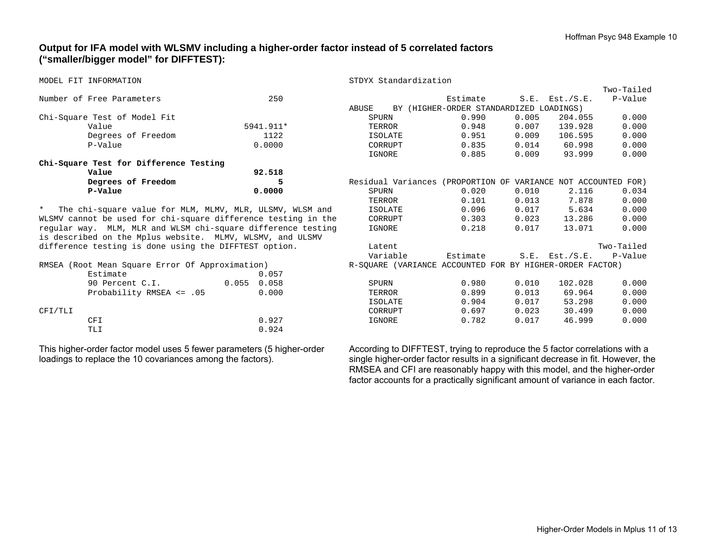# **Output for IFA model with WLSMV including a higher-order factor instead of 5 correlated factors ("smaller/bigger model" for DIFFTEST):**

| MODEL FIT INFORMATION                                         |                                                          |           | STDYX Standardization                                         |                                         |       |                     |            |
|---------------------------------------------------------------|----------------------------------------------------------|-----------|---------------------------------------------------------------|-----------------------------------------|-------|---------------------|------------|
|                                                               |                                                          |           |                                                               |                                         |       |                     | Two-Tailed |
|                                                               | Number of Free Parameters                                | 250       |                                                               | Estimate                                |       | $S.E.$ Est./ $S.E.$ | P-Value    |
|                                                               |                                                          |           | ABUSE                                                         | BY (HIGHER-ORDER STANDARDIZED LOADINGS) |       |                     |            |
|                                                               | Chi-Square Test of Model Fit                             |           | SPURN                                                         | 0.990                                   | 0.005 | 204.055             | 0.000      |
|                                                               | Value                                                    | 5941.911* | TERROR                                                        | 0.948                                   | 0.007 | 139.928             | 0.000      |
|                                                               | Degrees of Freedom                                       | 1122      | <b>ISOLATE</b>                                                | 0.951                                   | 0.009 | 106.595             | 0.000      |
|                                                               | P-Value                                                  | 0.0000    | CORRUPT                                                       | 0.835                                   | 0.014 | 60.998              | 0.000      |
|                                                               |                                                          |           | IGNORE                                                        | 0.885                                   | 0.009 | 93.999              | 0.000      |
|                                                               | Chi-Square Test for Difference Testing                   |           |                                                               |                                         |       |                     |            |
|                                                               | Value                                                    | 92.518    |                                                               |                                         |       |                     |            |
|                                                               | Degrees of Freedom                                       | 5         | Residual Variances (PROPORTION OF VARIANCE NOT ACCOUNTED FOR) |                                         |       |                     |            |
|                                                               | P-Value                                                  | 0.0000    | SPURN                                                         | 0.020                                   | 0.010 | 2.116               | 0.034      |
|                                                               |                                                          |           | TERROR                                                        | 0.101                                   | 0.013 | 7.878               | 0.000      |
| $\star$                                                       | The chi-square value for MLM, MLMV, MLR, ULSMV, WLSM and |           | ISOLATE                                                       | 0.096                                   | 0.017 | 5.634               | 0.000      |
| WLSMV cannot be used for chi-square difference testing in the |                                                          |           | CORRUPT                                                       | 0.303                                   | 0.023 | 13.286              | 0.000      |
| regular way. MLM, MLR and WLSM chi-square difference testing  |                                                          |           | IGNORE                                                        | 0.218                                   | 0.017 | 13.071              | 0.000      |
| is described on the Mplus website. MLMV, WLSMV, and ULSMV     |                                                          |           |                                                               |                                         |       |                     |            |
| difference testing is done using the DIFFTEST option.         |                                                          |           | Latent                                                        |                                         |       |                     | Two-Tailed |
|                                                               |                                                          |           | Variable                                                      | Estimate                                |       | $S.E.$ Est./ $S.E.$ | P-Value    |
| RMSEA (Root Mean Square Error Of Approximation)               |                                                          |           | R-SQUARE (VARIANCE ACCOUNTED FOR BY HIGHER-ORDER FACTOR)      |                                         |       |                     |            |
|                                                               | Estimate                                                 | 0.057     |                                                               |                                         |       |                     |            |
|                                                               | 0.055<br>90 Percent C.I.                                 | 0.058     | SPURN                                                         | 0.980                                   | 0.010 | 102.028             | 0.000      |
|                                                               | Probability RMSEA <= .05                                 | 0.000     | TERROR                                                        | 0.899                                   | 0.013 | 69.964              | 0.000      |
|                                                               |                                                          |           | <b>ISOLATE</b>                                                | 0.904                                   | 0.017 | 53.298              | 0.000      |
| CFI/TLI                                                       |                                                          |           | CORRUPT                                                       | 0.697                                   | 0.023 | 30.499              | 0.000      |
|                                                               | <b>CFI</b>                                               | 0.927     | IGNORE                                                        | 0.782                                   | 0.017 | 46.999              | 0.000      |
|                                                               | TLI                                                      | 0.924     |                                                               |                                         |       |                     |            |
|                                                               |                                                          |           |                                                               |                                         |       |                     |            |

This higher-order factor model uses 5 fewer parameters (5 higher-order loadings to replace the 10 covariances among the factors).

According to DIFFTEST, trying to reproduce the 5 factor correlations with a single higher-order factor results in a significant decrease in fit. However, the RMSEA and CFI are reasonably happy with this model, and the higher-order factor accounts for a practically significant amount of variance in each factor.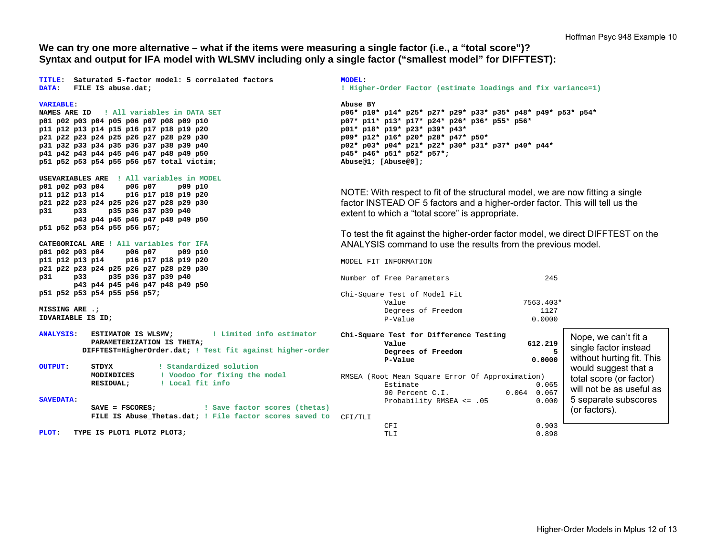**We can try one more alternative – what if the items were measuring a single factor (i.e., a "total score")? Syntax and output for IFA model with WLSMV including only a single factor ("smallest model" for DIFFTEST):** 

**TITLE: Saturated 5-factor model: 5 correlated factors DATA: FILE IS abuse.dat; VARIABLE: NAMES ARE ID ! All variables in DATA SETp01 p02 p03 p04 p05 p06 p07 p08 p09 p10 p11 p12 p13 p14 p15 p16 p17 p18 p19 p20 p21 p22 p23 p24 p25 p26 p27 p28 p29 p30 p31 p32 p33 p34 p35 p36 p37 p38 p39 p40 p41 p42 p43 p44 p45 p46 p47 p48 p49 p50 p51 p52 p53 p54 p55 p56 p57 total victim; USEVARIABLES ARE ! All variables in MODELp01 p02 p03 p04 p06 p07 p09 p10 p11 p12 p13 p14 p16 p17 p18 p19 p20 p21 p22 p23 p24 p25 p26 p27 p28 p29 p30 p31 p33 p35 p36 p37 p39 p40 p43 p44 p45 p46 p47 p48 p49 p50 p51 p52 p53 p54 p55 p56 p57; CATEGORICAL ARE ! All variables for IFAp01 p02 p03 p04 p06 p07 p09 p10 p11 p12 p13 p14 p16 p17 p18 p19 p20 p21 p22 p23 p24 p25 p26 p27 p28 p29 p30 p31 p33 p35 p36 p37 p39 p40 p43 p44 p45 p46 p47 p48 p49 p50 p51 p52 p53 p54 p55 p56 p57; MISSING ARE .; IDVARIABLE IS ID; ANALYSIS: ESTIMATOR IS WLSMV; ! Limited info estimator PARAMETERIZATION IS THETA; DIFFTEST=HigherOrder.dat; ! Test fit against higher-order OUTPUT: STDYX ! Standardized solution MODINDICES ! Voodoo for fixing the model RESIDUAL; ! Local fit info SAVEDATA: SAVE = FSCORES; ! Save factor scores (thetas) FILE IS Abuse\_Thetas.dat; ! File factor scores saved to**  CFI/TLI **PLOT: TYPE IS PLOT1 PLOT2 PLOT3; MODEL: ! Higher-Order Factor (estimate loadings and fix variance=1) Abuse BY p06\* p10\* p14\* p25\* p27\* p29\* p33\* p35\* p48\* p49\* p53\* p54\* p07\* p11\* p13\* p17\* p24\* p26\* p36\* p55\* p56\* p01\* p18\* p19\* p23\* p39\* p43\* p09\* p12\* p16\* p20\* p28\* p47\* p50\* p02\* p03\* p04\* p21\* p22\* p30\* p31\* p37\* p40\* p44\* p45\* p46\* p51\* p52\* p57\*; Abuse@1; [Abuse@0];**  NOTE: With respect to fit of the structural model, we are now fitting a single factor INSTEAD OF 5 factors and a higher-order factor. This will tell us the extent to which a "total score" is appropriate. To test the fit against the higher-order factor model, we direct DIFFTEST on the ANALYSIS command to use the results from the previous model. MODEL FIT INFORMATION Number of Free Parameters 245 Chi-Square Test of Model Fit Value 7563.403\* Degrees of Freedom 1127 P-Value 0.0000 **Chi-Square Test for Difference Testing Value 612.219 Degrees of Freedom 5 P-Value** 0.0000 RMSEA (Root Mean Square Error Of Approximation) Estimate 0.065 90 Percent C.I. 0.064 0.067 Probability RMSEA <= .05 0.000 CFI 0.903 TLI 0.898Nope, we can't fit a single factor instead without hurting fit. This would suggest that a total score (or factor) will not be as useful as 5 separate subscores (or factors).